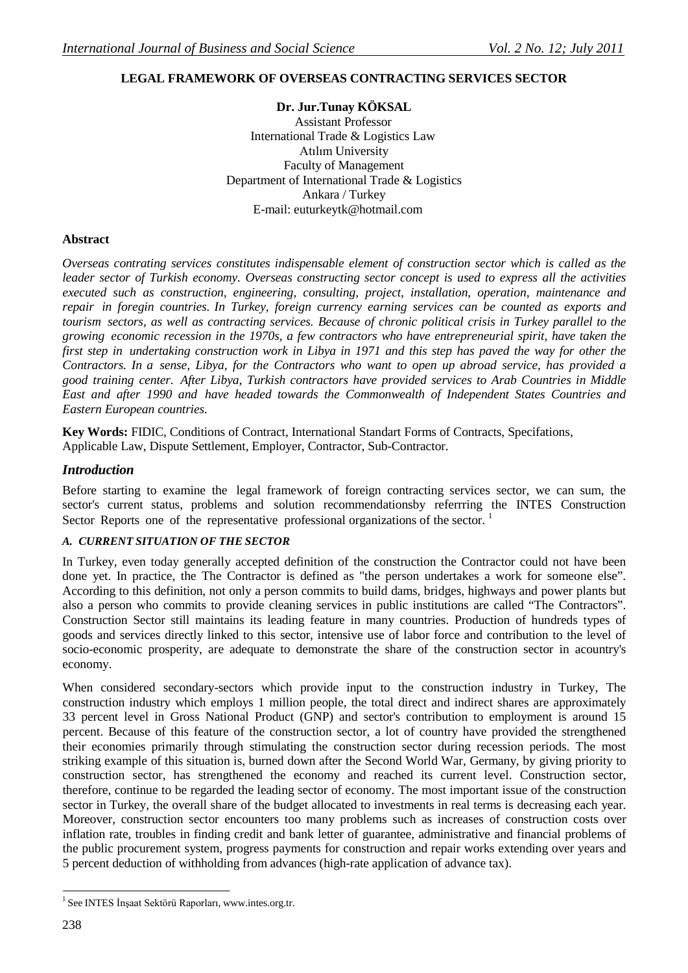# **LEGAL FRAMEWORK OF OVERSEAS CONTRACTING SERVICES SECTOR**

**Dr. Jur.Tunay KÖKSAL** Assistant Professor International Trade & Logistics Law Atılım University Faculty of Management Department of International Trade & Logistics Ankara / Turkey E-mail: [euturkeytk@hotmail.com](mailto:euturkeytk@hotmail.com)

### **Abstract**

*Overseas contrating services constitutes indispensable element of construction sector which is called as the leader sector of Turkish economy. Overseas constructing sector concept is used to express all the activities executed such as construction, engineering, consulting, project, installation, operation, maintenance and repair in foregin countries. In Turkey, foreign currency earning services can be counted as exports and* tourism sectors, as well as contracting services. Because of chronic political crisis in Turkey parallel to the *growing economic recession in the 1970s, a few contractors who have entrepreneurial spirit, have taken the*  first step in undertaking construction work in Libya in 1971 and this step has paved the way for other the Contractors. In a sense, Libya, for the Contractors who want to open up abroad service, has provided a *good training center. After Libya, Turkish contractors have provided services to Arab Countries in Middle East and after 1990 and have headed towards the Commonwealth of Independent States Countries and Eastern European countries.*

**Key Words:** FIDIC, Conditions of Contract, International Standart Forms of Contracts, Specifations, Applicable Law, Dispute Settlement, Employer, Contractor, Sub-Contractor.

### *Introduction*

Before starting to examine the legal framework of foreign contracting services sector, we can sum, the sector's current status, problems and solution recommendationsby referrring the INTES Construction Sector Reports one of the representative professional organizations of the sector.<sup>1</sup>

### *A. CURRENT SITUATION OF THE SECTOR*

In Turkey, even today generally accepted definition of the construction the Contractor could not have been done yet. In practice, the The Contractor is defined as "the person undertakes a work for someone else". According to this definition, not only a person commits to build dams, bridges, highways and power plants but also a person who commits to provide cleaning services in public institutions are called "The Contractors". Construction Sector still maintains its leading feature in many countries. Production of hundreds types of goods and services directly linked to this sector, intensive use of labor force and contribution to the level of socio-economic prosperity, are adequate to demonstrate the share of the construction sector in acountry's economy.

When considered secondary-sectors which provide input to the construction industry in Turkey, The construction industry which employs 1 million people, the total direct and indirect shares are approximately 33 percent level in Gross National Product (GNP) and sector's contribution to employment is around 15 percent. Because of this feature of the construction sector, a lot of country have provided the strengthened their economies primarily through stimulating the construction sector during recession periods. The most striking example of this situation is, burned down after the Second World War, Germany, by giving priority to construction sector, has strengthened the economy and reached its current level. Construction sector, therefore, continue to be regarded the leading sector of economy. The most important issue of the construction sector in Turkey, the overall share of the budget allocated to investments in real terms is decreasing each year. Moreover, construction sector encounters too many problems such as increases of construction costs over inflation rate, troubles in finding credit and bank letter of guarantee, administrative and financial problems of the public procurement system, progress payments for construction and repair works extending over years and 5 percent deduction of withholding from advances (high-rate application of advance tax).

<sup>1</sup> See INTES İnşaat Sektörü Raporları, [www.intes.org.tr.](http://www.intes.org.tr/)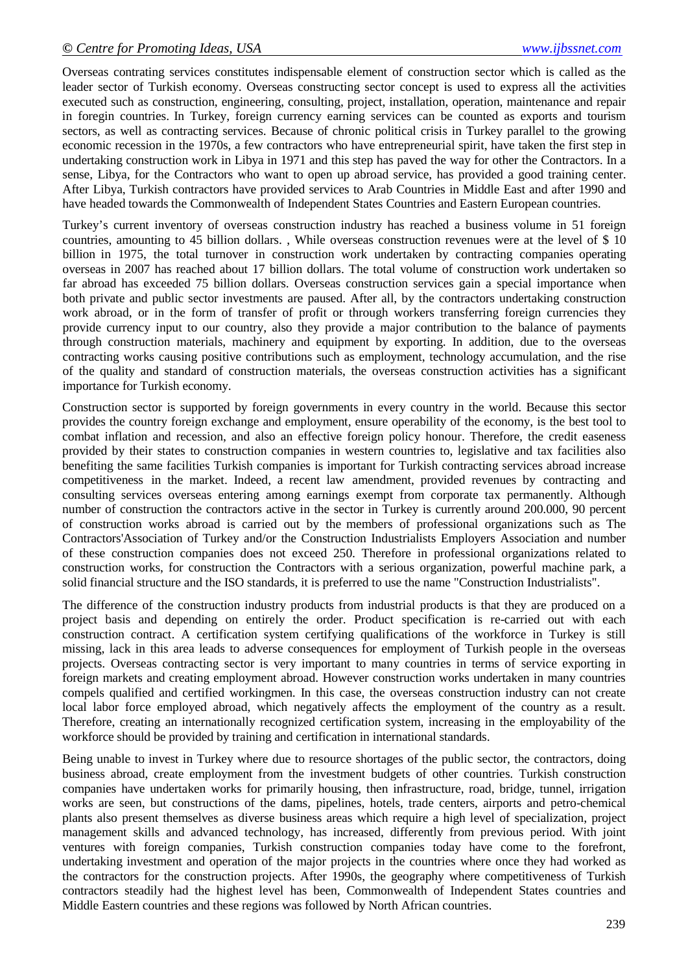Overseas contrating services constitutes indispensable element of construction sector which is called as the leader sector of Turkish economy. Overseas constructing sector concept is used to express all the activities executed such as construction, engineering, consulting, project, installation, operation, maintenance and repair in foregin countries. In Turkey, foreign currency earning services can be counted as exports and tourism sectors, as well as contracting services. Because of chronic political crisis in Turkey parallel to the growing economic recession in the 1970s, a few contractors who have entrepreneurial spirit, have taken the first step in undertaking construction work in Libya in 1971 and this step has paved the way for other the Contractors. In a sense, Libya, for the Contractors who want to open up abroad service, has provided a good training center. After Libya, Turkish contractors have provided services to Arab Countries in Middle East and after 1990 and have headed towards the Commonwealth of Independent States Countries and Eastern European countries.

Turkey's current inventory of overseas construction industry has reached a business volume in 51 foreign countries, amounting to 45 billion dollars. , While overseas construction revenues were at the level of \$ 10 billion in 1975, the total turnover in construction work undertaken by contracting companies operating overseas in 2007 has reached about 17 billion dollars. The total volume of construction work undertaken so far abroad has exceeded 75 billion dollars. Overseas construction services gain a special importance when both private and public sector investments are paused. After all, by the contractors undertaking construction work abroad, or in the form of transfer of profit or through workers transferring foreign currencies they provide currency input to our country, also they provide a major contribution to the balance of payments through construction materials, machinery and equipment by exporting. In addition, due to the overseas contracting works causing positive contributions such as employment, technology accumulation, and the rise of the quality and standard of construction materials, the overseas construction activities has a significant importance for Turkish economy.

Construction sector is supported by foreign governments in every country in the world. Because this sector provides the country foreign exchange and employment, ensure operability of the economy, is the best tool to combat inflation and recession, and also an effective foreign policy honour. Therefore, the credit easeness provided by their states to construction companies in western countries to, legislative and tax facilities also benefiting the same facilities Turkish companies is important for Turkish contracting services abroad increase competitiveness in the market. Indeed, a recent law amendment, provided revenues by contracting and consulting services overseas entering among earnings exempt from corporate tax permanently. Although number of construction the contractors active in the sector in Turkey is currently around 200.000, 90 percent of construction works abroad is carried out by the members of professional organizations such as The Contractors'Association of Turkey and/or the Construction Industrialists Employers Association and number of these construction companies does not exceed 250. Therefore in professional organizations related to construction works, for construction the Contractors with a serious organization, powerful machine park, a solid financial structure and the ISO standards, it is preferred to use the name "Construction Industrialists".

The difference of the construction industry products from industrial products is that they are produced on a project basis and depending on entirely the order. Product specification is re-carried out with each construction contract. A certification system certifying qualifications of the workforce in Turkey is still missing, lack in this area leads to adverse consequences for employment of Turkish people in the overseas projects. Overseas contracting sector is very important to many countries in terms of service exporting in foreign markets and creating employment abroad. However construction works undertaken in many countries compels qualified and certified workingmen. In this case, the overseas construction industry can not create local labor force employed abroad, which negatively affects the employment of the country as a result. Therefore, creating an internationally recognized certification system, increasing in the employability of the workforce should be provided by training and certification in international standards.

Being unable to invest in Turkey where due to resource shortages of the public sector, the contractors, doing business abroad, create employment from the investment budgets of other countries. Turkish construction companies have undertaken works for primarily housing, then infrastructure, road, bridge, tunnel, irrigation works are seen, but constructions of the dams, pipelines, hotels, trade centers, airports and petro-chemical plants also present themselves as diverse business areas which require a high level of specialization, project management skills and advanced technology, has increased, differently from previous period. With joint ventures with foreign companies, Turkish construction companies today have come to the forefront, undertaking investment and operation of the major projects in the countries where once they had worked as the contractors for the construction projects. After 1990s, the geography where competitiveness of Turkish contractors steadily had the highest level has been, Commonwealth of Independent States countries and Middle Eastern countries and these regions was followed by North African countries.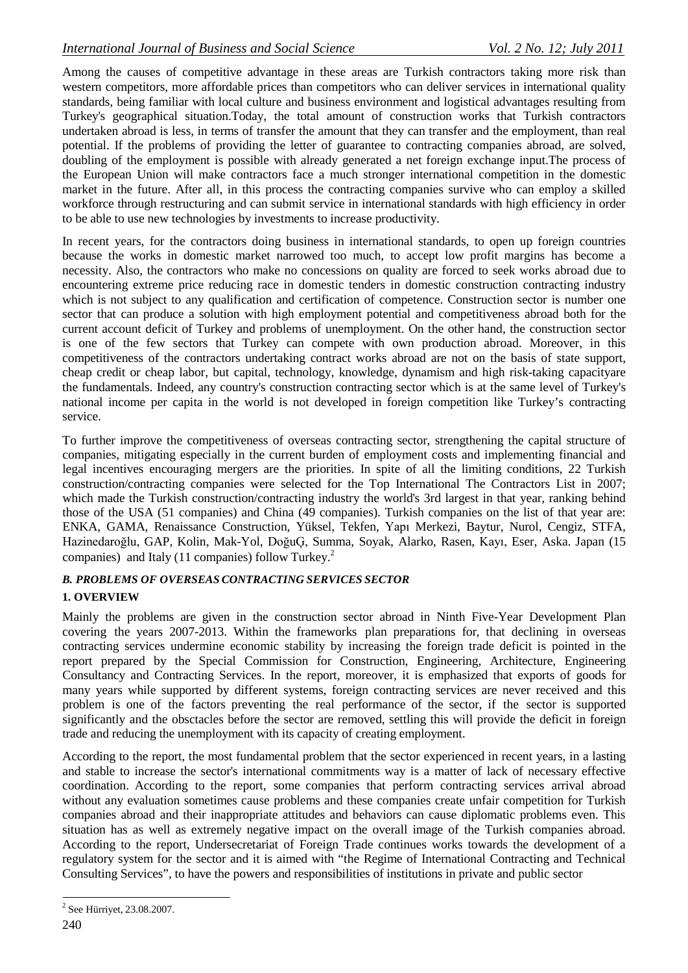Among the causes of competitive advantage in these areas are Turkish contractors taking more risk than western competitors, more affordable prices than competitors who can deliver services in international quality standards, being familiar with local culture and business environment and logistical advantages resulting from Turkey's geographical situation.Today, the total amount of construction works that Turkish contractors undertaken abroad is less, in terms of transfer the amount that they can transfer and the employment, than real potential. If the problems of providing the letter of guarantee to contracting companies abroad, are solved, doubling of the employment is possible with already generated a net foreign exchange input.The process of the European Union will make contractors face a much stronger international competition in the domestic market in the future. After all, in this process the contracting companies survive who can employ a skilled workforce through restructuring and can submit service in international standards with high efficiency in order to be able to use new technologies by investments to increase productivity.

In recent years, for the contractors doing business in international standards, to open up foreign countries because the works in domestic market narrowed too much, to accept low profit margins has become a necessity. Also, the contractors who make no concessions on quality are forced to seek works abroad due to encountering extreme price reducing race in domestic tenders in domestic construction contracting industry which is not subject to any qualification and certification of competence. Construction sector is number one sector that can produce a solution with high employment potential and competitiveness abroad both for the current account deficit of Turkey and problems of unemployment. On the other hand, the construction sector is one of the few sectors that Turkey can compete with own production abroad. Moreover, in this competitiveness of the contractors undertaking contract works abroad are not on the basis of state support, cheap credit or cheap labor, but capital, technology, knowledge, dynamism and high risk-taking capacityare the fundamentals. Indeed, any country's construction contracting sector which is at the same level of Turkey's national income per capita in the world is not developed in foreign competition like Turkey's contracting service.

To further improve the competitiveness of overseas contracting sector, strengthening the capital structure of companies, mitigating especially in the current burden of employment costs and implementing financial and legal incentives encouraging mergers are the priorities. In spite of all the limiting conditions, 22 Turkish construction/contracting companies were selected for the Top International The Contractors List in 2007; which made the Turkish construction/contracting industry the world's 3rd largest in that year, ranking behind those of the USA (51 companies) and China (49 companies). Turkish companies on the list of that year are: ENKA, GAMA, Renaissance Construction, Yüksel, Tekfen, Yapı Merkezi, Baytur, Nurol, Cengiz, STFA, Hazinedaroğlu, GAP, Kolin, Mak-Yol, DoğuĢ, Summa, Soyak, Alarko, Rasen, Kayı, Eser, Aska. Japan (15 companies) and Italy (11 companies) follow Turkey.2

### *B. PROBLEMS OF OVERSEAS CONTRACTING SERVICES SECTOR* **1. OVERVIEW**

Mainly the problems are given in the construction sector abroad in Ninth Five-Year Development Plan covering the years 2007-2013. Within the frameworks plan preparations for, that declining in overseas contracting services undermine economic stability by increasing the foreign trade deficit is pointed in the report prepared by the Special Commission for Construction, Engineering, Architecture, Engineering Consultancy and Contracting Services. In the report, moreover, it is emphasized that exports of goods for many years while supported by different systems, foreign contracting services are never received and this problem is one of the factors preventing the real performance of the sector, if the sector is supported significantly and the obsctacles before the sector are removed, settling this will provide the deficit in foreign trade and reducing the unemployment with its capacity of creating employment.

According to the report, the most fundamental problem that the sector experienced in recent years, in a lasting and stable to increase the sector's international commitments way is a matter of lack of necessary effective coordination. According to the report, some companies that perform contracting services arrival abroad without any evaluation sometimes cause problems and these companies create unfair competition for Turkish companies abroad and their inappropriate attitudes and behaviors can cause diplomatic problems even. This situation has as well as extremely negative impact on the overall image of the Turkish companies abroad. According to the report, Undersecretariat of Foreign Trade continues works towards the development of a regulatory system for the sector and it is aimed with "the Regime of International Contracting and Technical Consulting Services", to have the powers and responsibilities of institutions in private and public sector

<sup>2</sup> See Hürriyet, 23.08.2007.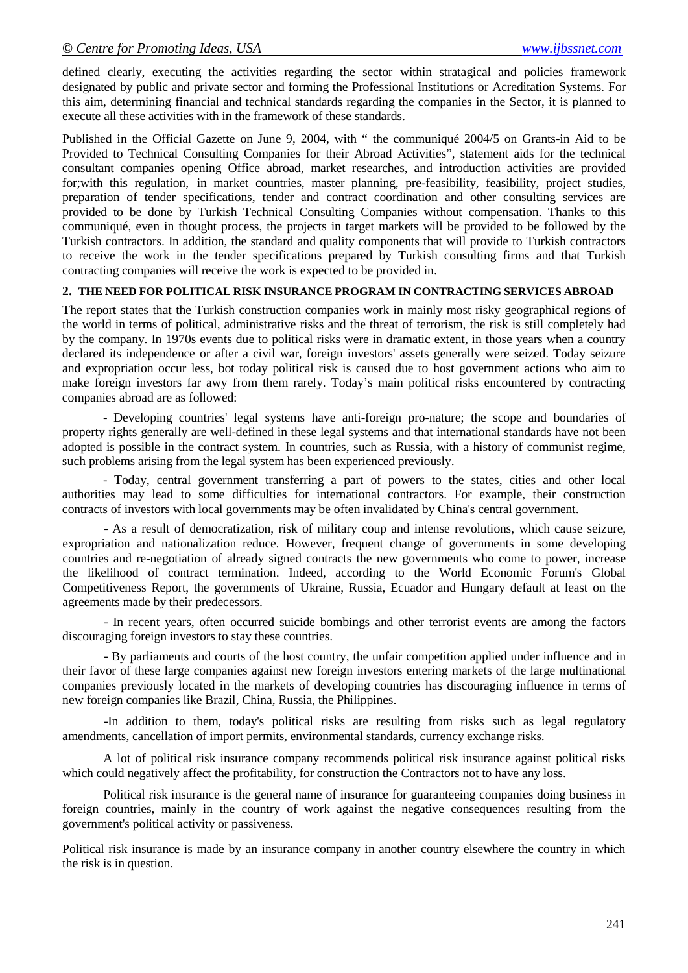defined clearly, executing the activities regarding the sector within stratagical and policies framework designated by public and private sector and forming the Professional Institutions or Acreditation Systems. For this aim, determining financial and technical standards regarding the companies in the Sector, it is planned to execute all these activities with in the framework of these standards.

Published in the Official Gazette on June 9, 2004, with " the communiqué 2004/5 on Grants-in Aid to be Provided to Technical Consulting Companies for their Abroad Activities", statement aids for the technical consultant companies opening Office abroad, market researches, and introduction activities are provided for;with this regulation, in market countries, master planning, pre-feasibility, feasibility, project studies, preparation of tender specifications, tender and contract coordination and other consulting services are provided to be done by Turkish Technical Consulting Companies without compensation. Thanks to this communiqué, even in thought process, the projects in target markets will be provided to be followed by the Turkish contractors. In addition, the standard and quality components that will provide to Turkish contractors to receive the work in the tender specifications prepared by Turkish consulting firms and that Turkish contracting companies will receive the work is expected to be provided in.

#### **2. THE NEED FOR POLITICAL RISK INSURANCE PROGRAM IN CONTRACTING SERVICES ABROAD**

The report states that the Turkish construction companies work in mainly most risky geographical regions of the world in terms of political, administrative risks and the threat of terrorism, the risk is still completely had by the company. In 1970s events due to political risks were in dramatic extent, in those years when a country declared its independence or after a civil war, foreign investors' assets generally were seized. Today seizure and expropriation occur less, bot today political risk is caused due to host government actions who aim to make foreign investors far awy from them rarely. Today's main political risks encountered by contracting companies abroad are as followed:

- Developing countries' legal systems have anti-foreign pro-nature; the scope and boundaries of property rights generally are well-defined in these legal systems and that international standards have not been adopted is possible in the contract system. In countries, such as Russia, with a history of communist regime, such problems arising from the legal system has been experienced previously.

- Today, central government transferring a part of powers to the states, cities and other local authorities may lead to some difficulties for international contractors. For example, their construction contracts of investors with local governments may be often invalidated by China's central government.

- As a result of democratization, risk of military coup and intense revolutions, which cause seizure, expropriation and nationalization reduce. However, frequent change of governments in some developing countries and re-negotiation of already signed contracts the new governments who come to power, increase the likelihood of contract termination. Indeed, according to the World Economic Forum's Global Competitiveness Report, the governments of Ukraine, Russia, Ecuador and Hungary default at least on the agreements made by their predecessors.

- In recent years, often occurred suicide bombings and other terrorist events are among the factors discouraging foreign investors to stay these countries.

- By parliaments and courts of the host country, the unfair competition applied under influence and in their favor of these large companies against new foreign investors entering markets of the large multinational companies previously located in the markets of developing countries has discouraging influence in terms of new foreign companies like Brazil, China, Russia, the Philippines.

-In addition to them, today's political risks are resulting from risks such as legal regulatory amendments, cancellation of import permits, environmental standards, currency exchange risks.

A lot of political risk insurance company recommends political risk insurance against political risks which could negatively affect the profitability, for construction the Contractors not to have any loss.

Political risk insurance is the general name of insurance for guaranteeing companies doing business in foreign countries, mainly in the country of work against the negative consequences resulting from the government's political activity or passiveness.

Political risk insurance is made by an insurance company in another country elsewhere the country in which the risk is in question.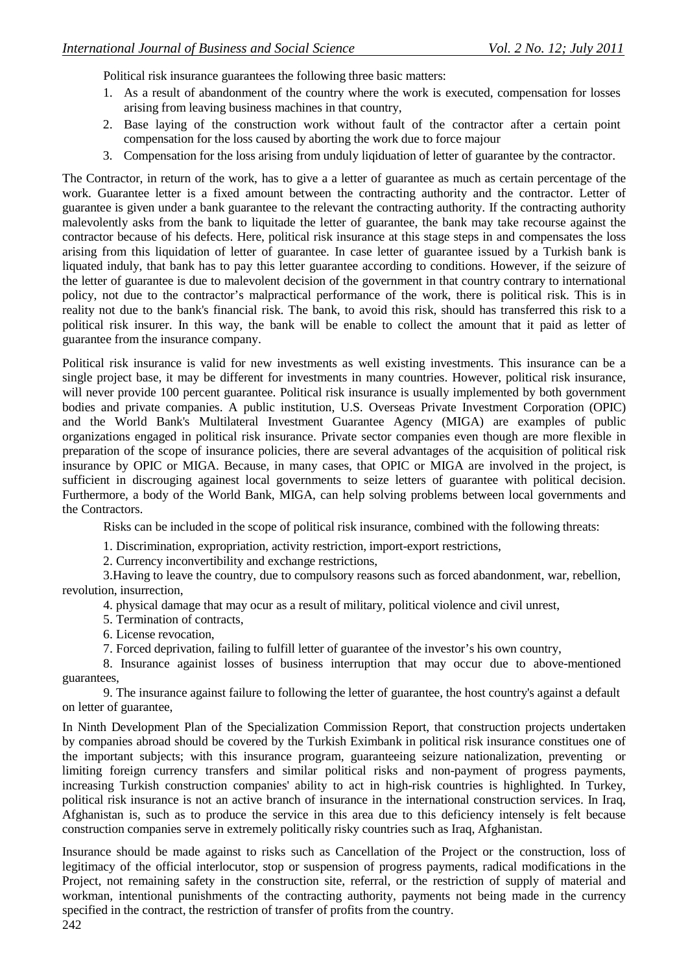Political risk insurance guarantees the following three basic matters:

- 1. As a result of abandonment of the country where the work is executed, compensation for losses arising from leaving business machines in that country,
- 2. Base laying of the construction work without fault of the contractor after a certain point compensation for the loss caused by aborting the work due to force majour
- 3. Compensation for the loss arising from unduly liqiduation of letter of guarantee by the contractor.

The Contractor, in return of the work, has to give a a letter of guarantee as much as certain percentage of the work. Guarantee letter is a fixed amount between the contracting authority and the contractor. Letter of guarantee is given under a bank guarantee to the relevant the contracting authority. If the contracting authority malevolently asks from the bank to liquitade the letter of guarantee, the bank may take recourse against the contractor because of his defects. Here, political risk insurance at this stage steps in and compensates the loss arising from this liquidation of letter of guarantee. In case letter of guarantee issued by a Turkish bank is liquated induly, that bank has to pay this letter guarantee according to conditions. However, if the seizure of the letter of guarantee is due to malevolent decision of the government in that country contrary to international policy, not due to the contractor's malpractical performance of the work, there is political risk. This is in reality not due to the bank's financial risk. The bank, to avoid this risk, should has transferred this risk to a political risk insurer. In this way, the bank will be enable to collect the amount that it paid as letter of guarantee from the insurance company.

Political risk insurance is valid for new investments as well existing investments. This insurance can be a single project base, it may be different for investments in many countries. However, political risk insurance, will never provide 100 percent guarantee. Political risk insurance is usually implemented by both government bodies and private companies. A public institution, U.S. Overseas Private Investment Corporation (OPIC) and the World Bank's Multilateral Investment Guarantee Agency (MIGA) are examples of public organizations engaged in political risk insurance. Private sector companies even though are more flexible in preparation of the scope of insurance policies, there are several advantages of the acquisition of political risk insurance by OPIC or MIGA. Because, in many cases, that OPIC or MIGA are involved in the project, is sufficient in discrouging againest local governments to seize letters of guarantee with political decision. Furthermore, a body of the World Bank, MIGA, can help solving problems between local governments and the Contractors.

Risks can be included in the scope of political risk insurance, combined with the following threats:

1. Discrimination, expropriation, activity restriction, import-export restrictions,

2. Currency inconvertibility and exchange restrictions,

3.Having to leave the country, due to compulsory reasons such as forced abandonment, war, rebellion, revolution, insurrection,

4. physical damage that may ocur as a result of military, political violence and civil unrest,

5. Termination of contracts,

6. License revocation,

7. Forced deprivation, failing to fulfill letter of guarantee of the investor's his own country,

8. Insurance againist losses of business interruption that may occur due to above-mentioned guarantees,

9. The insurance against failure to following the letter of guarantee, the host country's against a default on letter of guarantee,

In Ninth Development Plan of the Specialization Commission Report, that construction projects undertaken by companies abroad should be covered by the Turkish Eximbank in political risk insurance constitues one of the important subjects; with this insurance program, guaranteeing seizure nationalization, preventing or limiting foreign currency transfers and similar political risks and non-payment of progress payments, increasing Turkish construction companies' ability to act in high-risk countries is highlighted. In Turkey, political risk insurance is not an active branch of insurance in the international construction services. In Iraq, Afghanistan is, such as to produce the service in this area due to this deficiency intensely is felt because construction companies serve in extremely politically risky countries such as Iraq, Afghanistan.

Insurance should be made against to risks such as Cancellation of the Project or the construction, loss of legitimacy of the official interlocutor, stop or suspension of progress payments, radical modifications in the Project, not remaining safety in the construction site, referral, or the restriction of supply of material and workman, intentional punishments of the contracting authority, payments not being made in the currency specified in the contract, the restriction of transfer of profits from the country.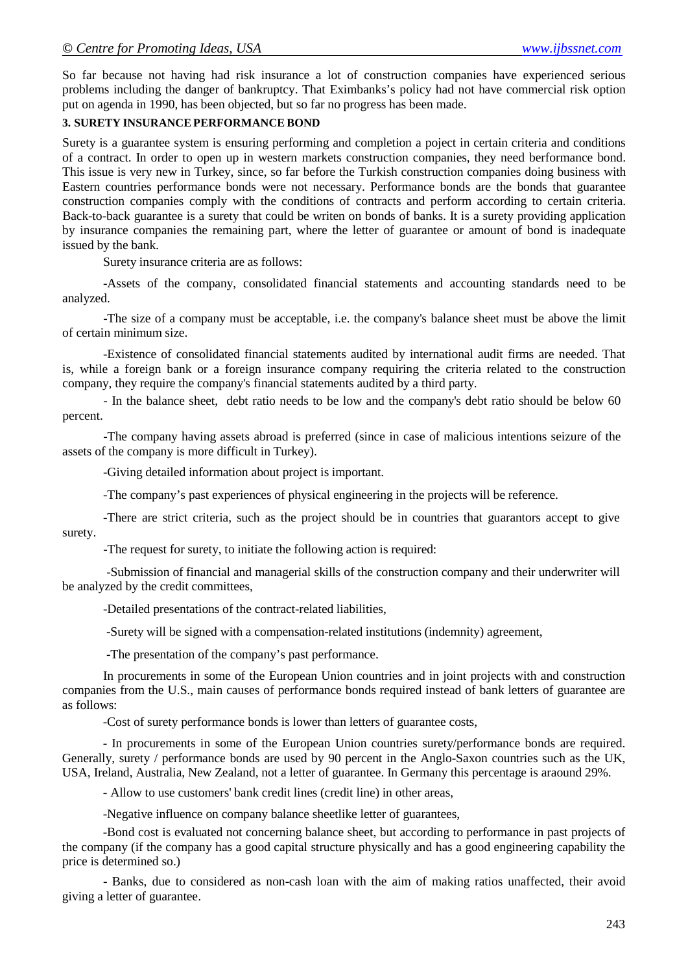So far because not having had risk insurance a lot of construction companies have experienced serious problems including the danger of bankruptcy. That Eximbanks's policy had not have commercial risk option put on agenda in 1990, has been objected, but so far no progress has been made.

### **3. SURETY INSURANCE PERFORMANCE BOND**

Surety is a guarantee system is ensuring performing and completion a poject in certain criteria and conditions of a contract. In order to open up in western markets construction companies, they need berformance bond. This issue is very new in Turkey, since, so far before the Turkish construction companies doing business with Eastern countries performance bonds were not necessary. Performance bonds are the bonds that guarantee construction companies comply with the conditions of contracts and perform according to certain criteria. Back-to-back guarantee is a surety that could be writen on bonds of banks. It is a surety providing application by insurance companies the remaining part, where the letter of guarantee or amount of bond is inadequate issued by the bank.

Surety insurance criteria are as follows:

-Assets of the company, consolidated financial statements and accounting standards need to be analyzed.

-The size of a company must be acceptable, i.e. the company's balance sheet must be above the limit of certain minimum size.

-Existence of consolidated financial statements audited by international audit firms are needed. That is, while a foreign bank or a foreign insurance company requiring the criteria related to the construction company, they require the company's financial statements audited by a third party.

- In the balance sheet, debt ratio needs to be low and the company's debt ratio should be below 60 percent.

-The company having assets abroad is preferred (since in case of malicious intentions seizure of the assets of the company is more difficult in Turkey).

-Giving detailed information about project is important.

-The company's past experiences of physical engineering in the projects will be reference.

-There are strict criteria, such as the project should be in countries that guarantors accept to give surety.

-The request for surety, to initiate the following action is required:

-Submission of financial and managerial skills of the construction company and their underwriter will be analyzed by the credit committees,

-Detailed presentations of the contract-related liabilities,

-Surety will be signed with a compensation-related institutions (indemnity) agreement,

-The presentation of the company's past performance.

In procurements in some of the European Union countries and in joint projects with and construction companies from the U.S., main causes of performance bonds required instead of bank letters of guarantee are as follows:

-Cost of surety performance bonds is lower than letters of guarantee costs,

- In procurements in some of the European Union countries surety/performance bonds are required. Generally, surety / performance bonds are used by 90 percent in the Anglo-Saxon countries such as the UK, USA, Ireland, Australia, New Zealand, not a letter of guarantee. In Germany this percentage is araound 29%.

- Allow to use customers' bank credit lines (credit line) in other areas,

-Negative influence on company balance sheetlike letter of guarantees,

-Bond cost is evaluated not concerning balance sheet, but according to performance in past projects of the company (if the company has a good capital structure physically and has a good engineering capability the price is determined so.)

- Banks, due to considered as non-cash loan with the aim of making ratios unaffected, their avoid giving a letter of guarantee.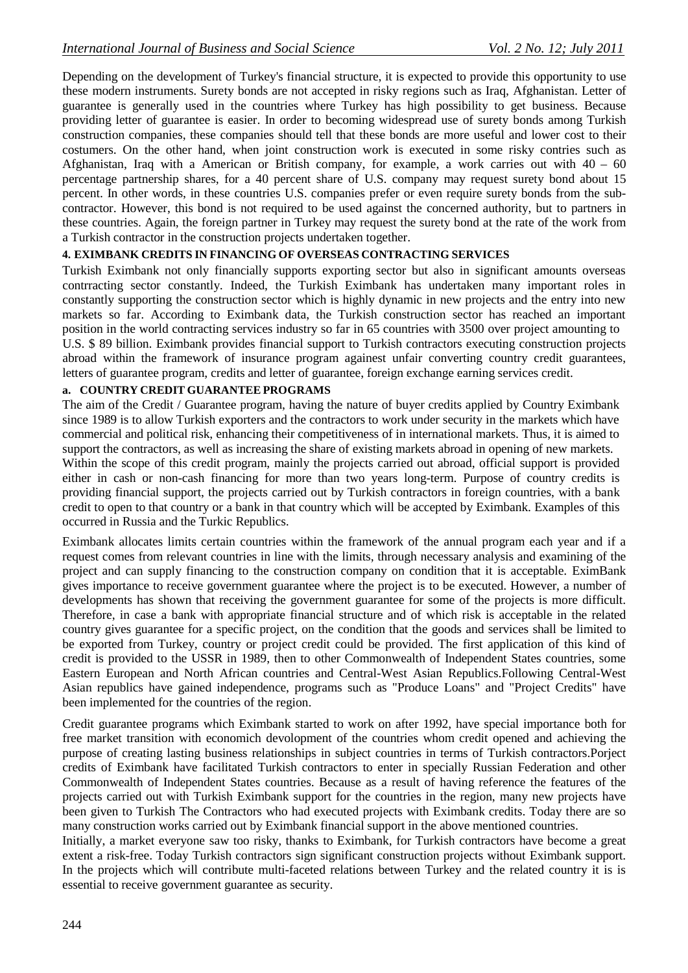Depending on the development of Turkey's financial structure, it is expected to provide this opportunity to use these modern instruments. Surety bonds are not accepted in risky regions such as Iraq, Afghanistan. Letter of guarantee is generally used in the countries where Turkey has high possibility to get business. Because providing letter of guarantee is easier. In order to becoming widespread use of surety bonds among Turkish construction companies, these companies should tell that these bonds are more useful and lower cost to their costumers. On the other hand, when joint construction work is executed in some risky contries such as Afghanistan, Iraq with a American or British company, for example, a work carries out with 40 – 60 percentage partnership shares, for a 40 percent share of U.S. company may request surety bond about 15 percent. In other words, in these countries U.S. companies prefer or even require surety bonds from the subcontractor. However, this bond is not required to be used against the concerned authority, but to partners in these countries. Again, the foreign partner in Turkey may request the surety bond at the rate of the work from a Turkish contractor in the construction projects undertaken together.

### **4. EXIMBANK CREDITS IN FINANCING OF OVERSEAS CONTRACTING SERVICES**

Turkish Eximbank not only financially supports exporting sector but also in significant amounts overseas contrracting sector constantly. Indeed, the Turkish Eximbank has undertaken many important roles in constantly supporting the construction sector which is highly dynamic in new projects and the entry into new markets so far. According to Eximbank data, the Turkish construction sector has reached an important position in the world contracting services industry so far in 65 countries with 3500 over project amounting to U.S. \$ 89 billion. Eximbank provides financial support to Turkish contractors executing construction projects abroad within the framework of insurance program againest unfair converting country credit guarantees, letters of guarantee program, credits and letter of guarantee, foreign exchange earning services credit.

#### **a. COUNTRY CREDIT GUARANTEE PROGRAMS**

The aim of the Credit / Guarantee program, having the nature of buyer credits applied by Country Eximbank since 1989 is to allow Turkish exporters and the contractors to work under security in the markets which have commercial and political risk, enhancing their competitiveness of in international markets. Thus, it is aimed to support the contractors, as well as increasing the share of existing markets abroad in opening of new markets. Within the scope of this credit program, mainly the projects carried out abroad, official support is provided either in cash or non-cash financing for more than two years long-term. Purpose of country credits is providing financial support, the projects carried out by Turkish contractors in foreign countries, with a bank credit to open to that country or a bank in that country which will be accepted by Eximbank. Examples of this occurred in Russia and the Turkic Republics.

Eximbank allocates limits certain countries within the framework of the annual program each year and if a request comes from relevant countries in line with the limits, through necessary analysis and examining of the project and can supply financing to the construction company on condition that it is acceptable. EximBank gives importance to receive government guarantee where the project is to be executed. However, a number of developments has shown that receiving the government guarantee for some of the projects is more difficult. Therefore, in case a bank with appropriate financial structure and of which risk is acceptable in the related country gives guarantee for a specific project, on the condition that the goods and services shall be limited to be exported from Turkey, country or project credit could be provided. The first application of this kind of credit is provided to the USSR in 1989, then to other Commonwealth of Independent States countries, some Eastern European and North African countries and Central-West Asian Republics.Following Central-West Asian republics have gained independence, programs such as "Produce Loans" and "Project Credits" have been implemented for the countries of the region.

Credit guarantee programs which Eximbank started to work on after 1992, have special importance both for free market transition with economich devolopment of the countries whom credit opened and achieving the purpose of creating lasting business relationships in subject countries in terms of Turkish contractors.Porject credits of Eximbank have facilitated Turkish contractors to enter in specially Russian Federation and other Commonwealth of Independent States countries. Because as a result of having reference the features of the projects carried out with Turkish Eximbank support for the countries in the region, many new projects have been given to Turkish The Contractors who had executed projects with Eximbank credits. Today there are so many construction works carried out by Eximbank financial support in the above mentioned countries.

Initially, a market everyone saw too risky, thanks to Eximbank, for Turkish contractors have become a great extent a risk-free. Today Turkish contractors sign significant construction projects without Eximbank support. In the projects which will contribute multi-faceted relations between Turkey and the related country it is is essential to receive government guarantee as security.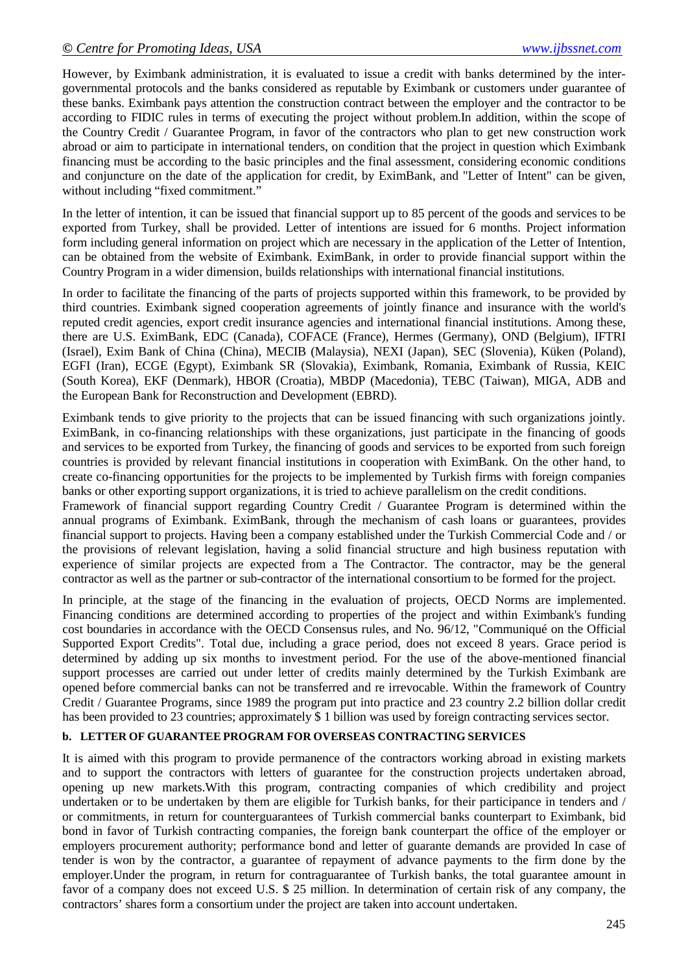However, by Eximbank administration, it is evaluated to issue a credit with banks determined by the intergovernmental protocols and the banks considered as reputable by Eximbank or customers under guarantee of these banks. Eximbank pays attention the construction contract between the employer and the contractor to be according to FIDIC rules in terms of executing the project without problem.In addition, within the scope of the Country Credit / Guarantee Program, in favor of the contractors who plan to get new construction work abroad or aim to participate in international tenders, on condition that the project in question which Eximbank financing must be according to the basic principles and the final assessment, considering economic conditions and conjuncture on the date of the application for credit, by EximBank, and "Letter of Intent" can be given, without including "fixed commitment."

In the letter of intention, it can be issued that financial support up to 85 percent of the goods and services to be exported from Turkey, shall be provided. Letter of intentions are issued for 6 months. Project information form including general information on project which are necessary in the application of the Letter of Intention, can be obtained from the website of Eximbank. EximBank, in order to provide financial support within the Country Program in a wider dimension, builds relationships with international financial institutions.

In order to facilitate the financing of the parts of projects supported within this framework, to be provided by third countries. Eximbank signed cooperation agreements of jointly finance and insurance with the world's reputed credit agencies, export credit insurance agencies and international financial institutions. Among these, there are U.S. EximBank, EDC (Canada), COFACE (France), Hermes (Germany), OND (Belgium), IFTRI (Israel), Exim Bank of China (China), MECIB (Malaysia), NEXI (Japan), SEC (Slovenia), Küken (Poland), EGFI (Iran), ECGE (Egypt), Eximbank SR (Slovakia), Eximbank, Romania, Eximbank of Russia, KEIC (South Korea), EKF (Denmark), HBOR (Croatia), MBDP (Macedonia), TEBC (Taiwan), MIGA, ADB and the European Bank for Reconstruction and Development (EBRD).

Eximbank tends to give priority to the projects that can be issued financing with such organizations jointly. EximBank, in co-financing relationships with these organizations, just participate in the financing of goods and services to be exported from Turkey, the financing of goods and services to be exported from such foreign countries is provided by relevant financial institutions in cooperation with EximBank. On the other hand, to create co-financing opportunities for the projects to be implemented by Turkish firms with foreign companies banks or other exporting support organizations, it is tried to achieve parallelism on the credit conditions.

Framework of financial support regarding Country Credit / Guarantee Program is determined within the annual programs of Eximbank. EximBank, through the mechanism of cash loans or guarantees, provides financial support to projects. Having been a company established under the Turkish Commercial Code and / or the provisions of relevant legislation, having a solid financial structure and high business reputation with experience of similar projects are expected from a The Contractor. The contractor, may be the general contractor as well as the partner or sub-contractor of the international consortium to be formed for the project.

In principle, at the stage of the financing in the evaluation of projects, OECD Norms are implemented. Financing conditions are determined according to properties of the project and within Eximbank's funding cost boundaries in accordance with the OECD Consensus rules, and No. 96/12, "Communiqué on the Official Supported Export Credits". Total due, including a grace period, does not exceed 8 years. Grace period is determined by adding up six months to investment period. For the use of the above-mentioned financial support processes are carried out under letter of credits mainly determined by the Turkish Eximbank are opened before commercial banks can not be transferred and re irrevocable. Within the framework of Country Credit / Guarantee Programs, since 1989 the program put into practice and 23 country 2.2 billion dollar credit has been provided to 23 countries; approximately \$ 1 billion was used by foreign contracting services sector.

### **b. LETTER OF GUARANTEE PROGRAM FOR OVERSEAS CONTRACTING SERVICES**

It is aimed with this program to provide permanence of the contractors working abroad in existing markets and to support the contractors with letters of guarantee for the construction projects undertaken abroad, opening up new markets.With this program, contracting companies of which credibility and project undertaken or to be undertaken by them are eligible for Turkish banks, for their participance in tenders and / or commitments, in return for counterguarantees of Turkish commercial banks counterpart to Eximbank, bid bond in favor of Turkish contracting companies, the foreign bank counterpart the office of the employer or employers procurement authority; performance bond and letter of guarante demands are provided In case of tender is won by the contractor, a guarantee of repayment of advance payments to the firm done by the employer.Under the program, in return for contraguarantee of Turkish banks, the total guarantee amount in favor of a company does not exceed U.S. \$ 25 million. In determination of certain risk of any company, the contractors' shares form a consortium under the project are taken into account undertaken.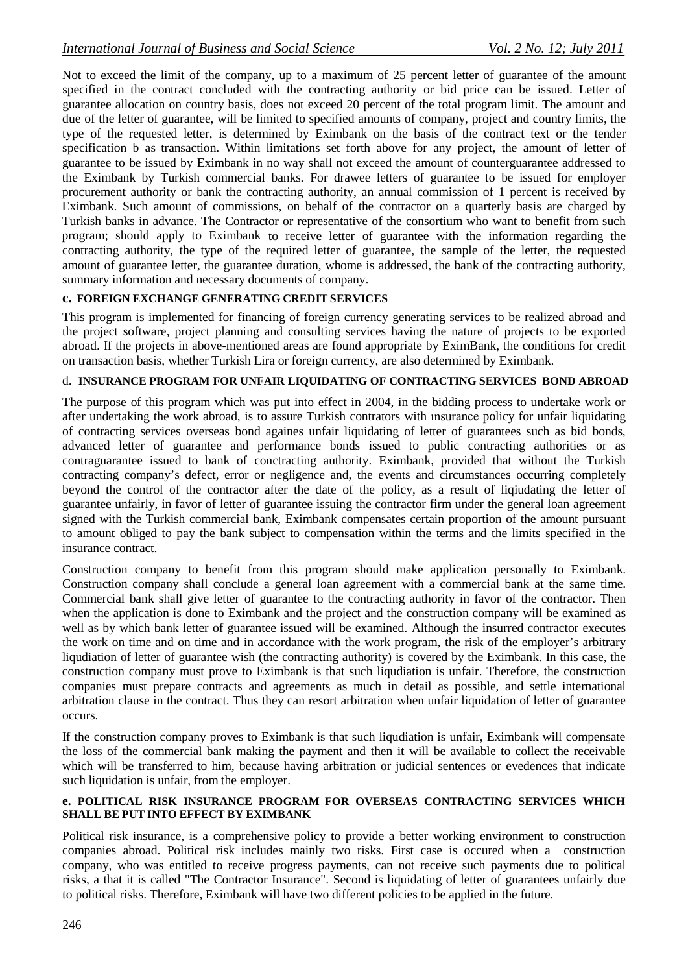Not to exceed the limit of the company, up to a maximum of 25 percent letter of guarantee of the amount specified in the contract concluded with the contracting authority or bid price can be issued. Letter of guarantee allocation on country basis, does not exceed 20 percent of the total program limit. The amount and due of the letter of guarantee, will be limited to specified amounts of company, project and country limits, the type of the requested letter, is determined by Eximbank on the basis of the contract text or the tender specification b as transaction. Within limitations set forth above for any project, the amount of letter of guarantee to be issued by Eximbank in no way shall not exceed the amount of counterguarantee addressed to the Eximbank by Turkish commercial banks. For drawee letters of guarantee to be issued for employer procurement authority or bank the contracting authority, an annual commission of 1 percent is received by Eximbank. Such amount of commissions, on behalf of the contractor on a quarterly basis are charged by Turkish banks in advance. The Contractor or representative of the consortium who want to benefit from such program; should apply to Eximbank to receive letter of guarantee with the information regarding the contracting authority, the type of the required letter of guarantee, the sample of the letter, the requested amount of guarantee letter, the guarantee duration, whome is addressed, the bank of the contracting authority, summary information and necessary documents of company.

# **c. FOREIGN EXCHANGE GENERATING CREDIT SERVICES**

This program is implemented for financing of foreign currency generating services to be realized abroad and the project software, project planning and consulting services having the nature of projects to be exported abroad. If the projects in above-mentioned areas are found appropriate by EximBank, the conditions for credit on transaction basis, whether Turkish Lira or foreign currency, are also determined by Eximbank.

### d. **INSURANCE PROGRAM FOR UNFAIR LIQUIDATING OF CONTRACTING SERVICES BOND ABROAD**

The purpose of this program which was put into effect in 2004, in the bidding process to undertake work or after undertaking the work abroad, is to assure Turkish contrators with ınsurance policy for unfair liquidating of contracting services overseas bond againes unfair liquidating of letter of guarantees such as bid bonds, advanced letter of guarantee and performance bonds issued to public contracting authorities or as contraguarantee issued to bank of conctracting authority. Eximbank, provided that without the Turkish contracting company's defect, error or negligence and, the events and circumstances occurring completely beyond the control of the contractor after the date of the policy, as a result of liqiudating the letter of guarantee unfairly, in favor of letter of guarantee issuing the contractor firm under the general loan agreement signed with the Turkish commercial bank, Eximbank compensates certain proportion of the amount pursuant to amount obliged to pay the bank subject to compensation within the terms and the limits specified in the insurance contract.

Construction company to benefit from this program should make application personally to Eximbank. Construction company shall conclude a general loan agreement with a commercial bank at the same time. Commercial bank shall give letter of guarantee to the contracting authority in favor of the contractor. Then when the application is done to Eximbank and the project and the construction company will be examined as well as by which bank letter of guarantee issued will be examined. Although the insurred contractor executes the work on time and on time and in accordance with the work program, the risk of the employer's arbitrary liqudiation of letter of guarantee wish (the contracting authority) is covered by the Eximbank. In this case, the construction company must prove to Eximbank is that such liqudiation is unfair. Therefore, the construction companies must prepare contracts and agreements as much in detail as possible, and settle international arbitration clause in the contract. Thus they can resort arbitration when unfair liquidation of letter of guarantee occurs.

If the construction company proves to Eximbank is that such liqudiation is unfair, Eximbank will compensate the loss of the commercial bank making the payment and then it will be available to collect the receivable which will be transferred to him, because having arbitration or judicial sentences or evedences that indicate such liquidation is unfair, from the employer.

#### **e. POLITICAL RISK INSURANCE PROGRAM FOR OVERSEAS CONTRACTING SERVICES WHICH SHALL BE PUT INTO EFFECT BY EXIMBANK**

Political risk insurance, is a comprehensive policy to provide a better working environment to construction companies abroad. Political risk includes mainly two risks. First case is occured when a construction company, who was entitled to receive progress payments, can not receive such payments due to political risks, a that it is called "The Contractor Insurance". Second is liquidating of letter of guarantees unfairly due to political risks. Therefore, Eximbank will have two different policies to be applied in the future.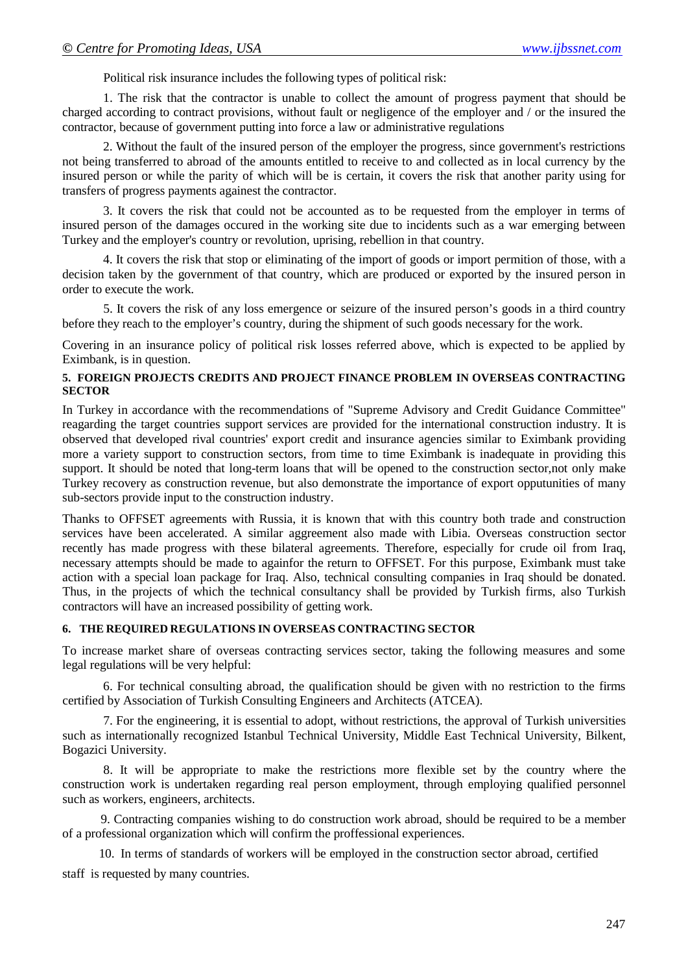Political risk insurance includes the following types of political risk:

1. The risk that the contractor is unable to collect the amount of progress payment that should be charged according to contract provisions, without fault or negligence of the employer and / or the insured the contractor, because of government putting into force a law or administrative regulations

2. Without the fault of the insured person of the employer the progress, since government's restrictions not being transferred to abroad of the amounts entitled to receive to and collected as in local currency by the insured person or while the parity of which will be is certain, it covers the risk that another parity using for transfers of progress payments againest the contractor.

3. It covers the risk that could not be accounted as to be requested from the employer in terms of insured person of the damages occured in the working site due to incidents such as a war emerging between Turkey and the employer's country or revolution, uprising, rebellion in that country.

4. It covers the risk that stop or eliminating of the import of goods or import permition of those, with a decision taken by the government of that country, which are produced or exported by the insured person in order to execute the work.

5. It covers the risk of any loss emergence or seizure of the insured person's goods in a third country before they reach to the employer's country, during the shipment of such goods necessary for the work.

Covering in an insurance policy of political risk losses referred above, which is expected to be applied by Eximbank, is in question.

#### **5. FOREIGN PROJECTS CREDITS AND PROJECT FINANCE PROBLEM IN OVERSEAS CONTRACTING SECTOR**

In Turkey in accordance with the recommendations of "Supreme Advisory and Credit Guidance Committee" reagarding the target countries support services are provided for the international construction industry. It is observed that developed rival countries' export credit and insurance agencies similar to Eximbank providing more a variety support to construction sectors, from time to time Eximbank is inadequate in providing this support. It should be noted that long-term loans that will be opened to the construction sector,not only make Turkey recovery as construction revenue, but also demonstrate the importance of export opputunities of many sub-sectors provide input to the construction industry.

Thanks to OFFSET agreements with Russia, it is known that with this country both trade and construction services have been accelerated. A similar aggreement also made with Libia. Overseas construction sector recently has made progress with these bilateral agreements. Therefore, especially for crude oil from Iraq, necessary attempts should be made to againfor the return to OFFSET. For this purpose, Eximbank must take action with a special loan package for Iraq. Also, technical consulting companies in Iraq should be donated. Thus, in the projects of which the technical consultancy shall be provided by Turkish firms, also Turkish contractors will have an increased possibility of getting work.

### **6. THE REQUIRED REGULATIONS IN OVERSEAS CONTRACTING SECTOR**

To increase market share of overseas contracting services sector, taking the following measures and some legal regulations will be very helpful:

6. For technical consulting abroad, the qualification should be given with no restriction to the firms certified by Association of Turkish Consulting Engineers and Architects (ATCEA).

7. For the engineering, it is essential to adopt, without restrictions, the approval of Turkish universities such as internationally recognized Istanbul Technical University, Middle East Technical University, Bilkent, Bogazici University.

8. It will be appropriate to make the restrictions more flexible set by the country where the construction work is undertaken regarding real person employment, through employing qualified personnel such as workers, engineers, architects.

9. Contracting companies wishing to do construction work abroad, should be required to be a member of a professional organization which will confirm the proffessional experiences.

 10. In terms of standards of workers will be employed in the construction sector abroad, certified staff is requested by many countries.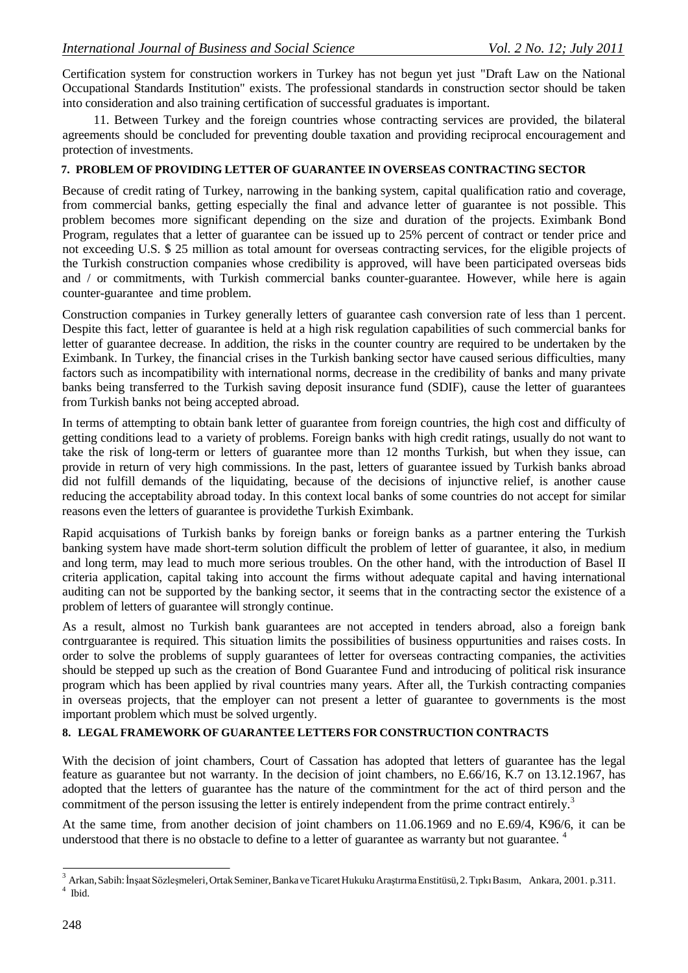Certification system for construction workers in Turkey has not begun yet just "Draft Law on the National Occupational Standards Institution" exists. The professional standards in construction sector should be taken into consideration and also training certification of successful graduates is important.

 11. Between Turkey and the foreign countries whose contracting services are provided, the bilateral agreements should be concluded for preventing double taxation and providing reciprocal encouragement and protection of investments.

#### **7. PROBLEM OF PROVIDING LETTER OF GUARANTEE IN OVERSEAS CONTRACTING SECTOR**

Because of credit rating of Turkey, narrowing in the banking system, capital qualification ratio and coverage, from commercial banks, getting especially the final and advance letter of guarantee is not possible. This problem becomes more significant depending on the size and duration of the projects. Eximbank Bond Program, regulates that a letter of guarantee can be issued up to 25% percent of contract or tender price and not exceeding U.S. \$ 25 million as total amount for overseas contracting services, for the eligible projects of the Turkish construction companies whose credibility is approved, will have been participated overseas bids and / or commitments, with Turkish commercial banks counter-guarantee. However, while here is again counter-guarantee and time problem.

Construction companies in Turkey generally letters of guarantee cash conversion rate of less than 1 percent. Despite this fact, letter of guarantee is held at a high risk regulation capabilities of such commercial banks for letter of guarantee decrease. In addition, the risks in the counter country are required to be undertaken by the Eximbank. In Turkey, the financial crises in the Turkish banking sector have caused serious difficulties, many factors such as incompatibility with international norms, decrease in the credibility of banks and many private banks being transferred to the Turkish saving deposit insurance fund (SDIF), cause the letter of guarantees from Turkish banks not being accepted abroad.

In terms of attempting to obtain bank letter of guarantee from foreign countries, the high cost and difficulty of getting conditions lead to a variety of problems. Foreign banks with high credit ratings, usually do not want to take the risk of long-term or letters of guarantee more than 12 months Turkish, but when they issue, can provide in return of very high commissions. In the past, letters of guarantee issued by Turkish banks abroad did not fulfill demands of the liquidating, because of the decisions of injunctive relief, is another cause reducing the acceptability abroad today. In this context local banks of some countries do not accept for similar reasons even the letters of guarantee is providethe Turkish Eximbank.

Rapid acquisations of Turkish banks by foreign banks or foreign banks as a partner entering the Turkish banking system have made short-term solution difficult the problem of letter of guarantee, it also, in medium and long term, may lead to much more serious troubles. On the other hand, with the introduction of Basel II criteria application, capital taking into account the firms without adequate capital and having international auditing can not be supported by the banking sector, it seems that in the contracting sector the existence of a problem of letters of guarantee will strongly continue.

As a result, almost no Turkish bank guarantees are not accepted in tenders abroad, also a foreign bank contrguarantee is required. This situation limits the possibilities of business oppurtunities and raises costs. In order to solve the problems of supply guarantees of letter for overseas contracting companies, the activities should be stepped up such as the creation of Bond Guarantee Fund and introducing of political risk insurance program which has been applied by rival countries many years. After all, the Turkish contracting companies in overseas projects, that the employer can not present a letter of guarantee to governments is the most important problem which must be solved urgently.

#### **8. LEGAL FRAMEWORK OF GUARANTEE LETTERS FOR CONSTRUCTION CONTRACTS**

With the decision of joint chambers, Court of Cassation has adopted that letters of guarantee has the legal feature as guarantee but not warranty. In the decision of joint chambers, no E.66/16, K.7 on 13.12.1967, has adopted that the letters of guarantee has the nature of the commintment for the act of third person and the commitment of the person issusing the letter is entirely independent from the prime contract entirely.<sup>3</sup>

At the same time, from another decision of joint chambers on 11.06.1969 and no E.69/4, K96/6, it can be understood that there is no obstacle to define to a letter of guarantee as warranty but not guarantee.<sup>4</sup>

<sup>&</sup>lt;sup>3</sup> Arkan, Sabih: İnşaat Sözleşmeleri, Ortak Seminer, Banka ve Ticaret Hukuku Araştırma Enstitüsü, 2. Tıpkı Basım, Ankara, 2001. p.311.  $^4$  Ibid.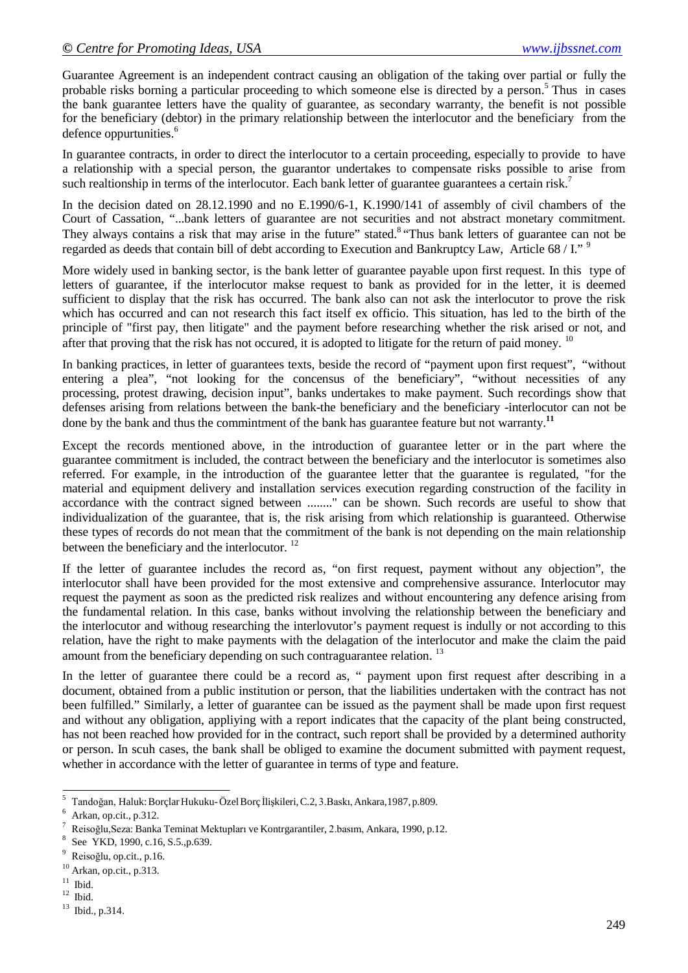Guarantee Agreement is an independent contract causing an obligation of the taking over partial or fully the probable risks borning a particular proceeding to which someone else is directed by a person.<sup>5</sup> Thus in cases the bank guarantee letters have the quality of guarantee, as secondary warranty, the benefit is not possible for the beneficiary (debtor) in the primary relationship between the interlocutor and the beneficiary from the defence oppurtunities.<sup>6</sup>

In guarantee contracts, in order to direct the interlocutor to a certain proceeding, especially to provide to have a relationship with a special person, the guarantor undertakes to compensate risks possible to arise from such realtionship in terms of the interlocutor. Each bank letter of guarantee guarantees a certain risk.<sup>7</sup>

In the decision dated on 28.12.1990 and no E.1990/6-1, K.1990/141 of assembly of civil chambers of the Court of Cassation, "...bank letters of guarantee are not securities and not abstract monetary commitment. They always contains a risk that may arise in the future" stated.<sup>8</sup> "Thus bank letters of guarantee can not be regarded as deeds that contain bill of debt according to Execution and Bankruptcy Law, Article 68 / I." <sup>9</sup>

More widely used in banking sector, is the bank letter of guarantee payable upon first request. In this type of letters of guarantee, if the interlocutor makse request to bank as provided for in the letter, it is deemed sufficient to display that the risk has occurred. The bank also can not ask the interlocutor to prove the risk which has occurred and can not research this fact itself ex officio. This situation, has led to the birth of the principle of "first pay, then litigate" and the payment before researching whether the risk arised or not, and after that proving that the risk has not occured, it is adopted to litigate for the return of paid money. <sup>10</sup>

In banking practices, in letter of guarantees texts, beside the record of "payment upon first request", "without entering a plea", "not looking for the concensus of the beneficiary", "without necessities of any processing, protest drawing, decision input", banks undertakes to make payment. Such recordings show that defenses arising from relations between the bank-the beneficiary and the beneficiary -interlocutor can not be done by the bank and thus the commintment of the bank has guarantee feature but not warranty.**<sup>11</sup>**

Except the records mentioned above, in the introduction of guarantee letter or in the part where the guarantee commitment is included, the contract between the beneficiary and the interlocutor is sometimes also referred. For example, in the introduction of the guarantee letter that the guarantee is regulated, "for the material and equipment delivery and installation services execution regarding construction of the facility in accordance with the contract signed between ........" can be shown. Such records are useful to show that individualization of the guarantee, that is, the risk arising from which relationship is guaranteed. Otherwise these types of records do not mean that the commitment of the bank is not depending on the main relationship between the beneficiary and the interlocutor.<sup>12</sup>

If the letter of guarantee includes the record as, "on first request, payment without any objection", the interlocutor shall have been provided for the most extensive and comprehensive assurance. Interlocutor may request the payment as soon as the predicted risk realizes and without encountering any defence arising from the fundamental relation. In this case, banks without involving the relationship between the beneficiary and the interlocutor and withoug researching the interlovutor's payment request is indully or not according to this relation, have the right to make payments with the delagation of the interlocutor and make the claim the paid amount from the beneficiary depending on such contraguarantee relation.<sup>13</sup>

In the letter of guarantee there could be a record as, " payment upon first request after describing in a document, obtained from a public institution or person, that the liabilities undertaken with the contract has not been fulfilled." Similarly, a letter of guarantee can be issued as the payment shall be made upon first request and without any obligation, appliying with a report indicates that the capacity of the plant being constructed, has not been reached how provided for in the contract, such report shall be provided by a determined authority or person. In scuh cases, the bank shall be obliged to examine the document submitted with payment request, whether in accordance with the letter of guarantee in terms of type and feature.

<sup>5</sup> Tandoğan, Haluk:BorçlarHukuku-ÖzelBorç İlişkileri,C.2, 3.Baskı,Ankara,1987,p.809.

<sup>6</sup> Arkan, op.cit., p.312.

<sup>7</sup> Reisoğlu,Seza: Banka Teminat Mektupları ve Kontrgarantiler, 2.basım, Ankara, 1990, p.12.

See YKD, 1990, c.16, S.5., p.639.

<sup>9</sup> Reisoğlu, op.cit., p.16.

 $10^{10}$  Arkan, op.cit., p.313.<br> $11$  Ibid.

 $^{12}\,$  Ibid.

<sup>13</sup> Ibid., p.314.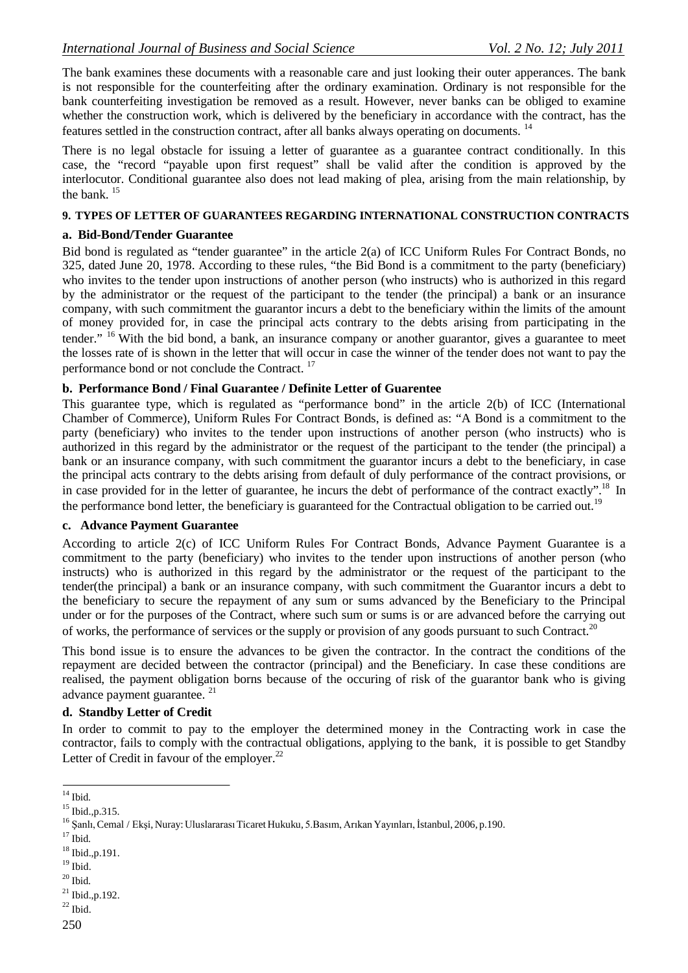The bank examines these documents with a reasonable care and just looking their outer apperances. The bank is not responsible for the counterfeiting after the ordinary examination. Ordinary is not responsible for the bank counterfeiting investigation be removed as a result. However, never banks can be obliged to examine whether the construction work, which is delivered by the beneficiary in accordance with the contract, has the features settled in the construction contract, after all banks always operating on documents. <sup>14</sup>

There is no legal obstacle for issuing a letter of guarantee as a guarantee contract conditionally. In this case, the "record "payable upon first request" shall be valid after the condition is approved by the interlocutor. Conditional guarantee also does not lead making of plea, arising from the main relationship, by the bank. <sup>15</sup>

#### **9. TYPES OF LETTER OF GUARANTEES REGARDING INTERNATIONAL CONSTRUCTION CONTRACTS**

### **a. Bid-Bond/Tender Guarantee**

Bid bond is regulated as "tender guarantee" in the article 2(a) of ICC Uniform Rules For Contract Bonds, no 325, dated June 20, 1978. According to these rules, "the Bid Bond is a commitment to the party (beneficiary) who invites to the tender upon instructions of another person (who instructs) who is authorized in this regard by the administrator or the request of the participant to the tender (the principal) a bank or an insurance company, with such commitment the guarantor incurs a debt to the beneficiary within the limits of the amount of money provided for, in case the principal acts contrary to the debts arising from participating in the tender." <sup>16</sup> With the bid bond, a bank, an insurance company or another guarantor, gives a guarantee to meet the losses rate of is shown in the letter that will occur in case the winner of the tender does not want to pay the performance bond or not conclude the Contract. <sup>17</sup>

# **b. Performance Bond / Final Guarantee / Definite Letter of Guarentee**

This guarantee type, which is regulated as "performance bond" in the article 2(b) of ICC (International Chamber of Commerce), Uniform Rules For Contract Bonds, is defined as: "A Bond is a commitment to the party (beneficiary) who invites to the tender upon instructions of another person (who instructs) who is authorized in this regard by the administrator or the request of the participant to the tender (the principal) a bank or an insurance company, with such commitment the guarantor incurs a debt to the beneficiary, in case the principal acts contrary to the debts arising from default of duly performance of the contract provisions, or in case provided for in the letter of guarantee, he incurs the debt of performance of the contract exactly".<sup>18</sup> In the performance bond letter, the beneficiary is guaranteed for the Contractual obligation to be carried out.<sup>19</sup>

# **c. Advance Payment Guarantee**

According to article 2(c) of ICC Uniform Rules For Contract Bonds, Advance Payment Guarantee is a commitment to the party (beneficiary) who invites to the tender upon instructions of another person (who instructs) who is authorized in this regard by the administrator or the request of the participant to the tender(the principal) a bank or an insurance company, with such commitment the Guarantor incurs a debt to the beneficiary to secure the repayment of any sum or sums advanced by the Beneficiary to the Principal under or for the purposes of the Contract, where such sum or sums is or are advanced before the carrying out of works, the performance of services or the supply or provision of any goods pursuant to such Contract.<sup>20</sup>

This bond issue is to ensure the advances to be given the contractor. In the contract the conditions of the repayment are decided between the contractor (principal) and the Beneficiary. In case these conditions are realised, the payment obligation borns because of the occuring of risk of the guarantor bank who is giving advance payment guarantee. <sup>21</sup>

# **d. Standby Letter of Credit**

In order to commit to pay to the employer the determined money in the Contracting work in case the contractor, fails to comply with the contractual obligations, applying to the bank, it is possible to get Standby Letter of Credit in favour of the employer. $^{22}$ 

 $^{19}$  Ibid.

 $^{14}$  Ibid.

<sup>15</sup> Ibid.,p.315.

<sup>&</sup>lt;sup>16</sup> Şanlı, Cemal / Ekşi, Nuray: Uluslararası Ticaret Hukuku, 5.Basım, Arıkan Yayınları, İstanbul, 2006, p.190.

 $^{17}$  Ibid.

<sup>18</sup> Ibid.,p.191.

 $^{\rm 20}$  Ibid.

<sup>21</sup> Ibid.,p.192.

 $^{22}$  Ibid.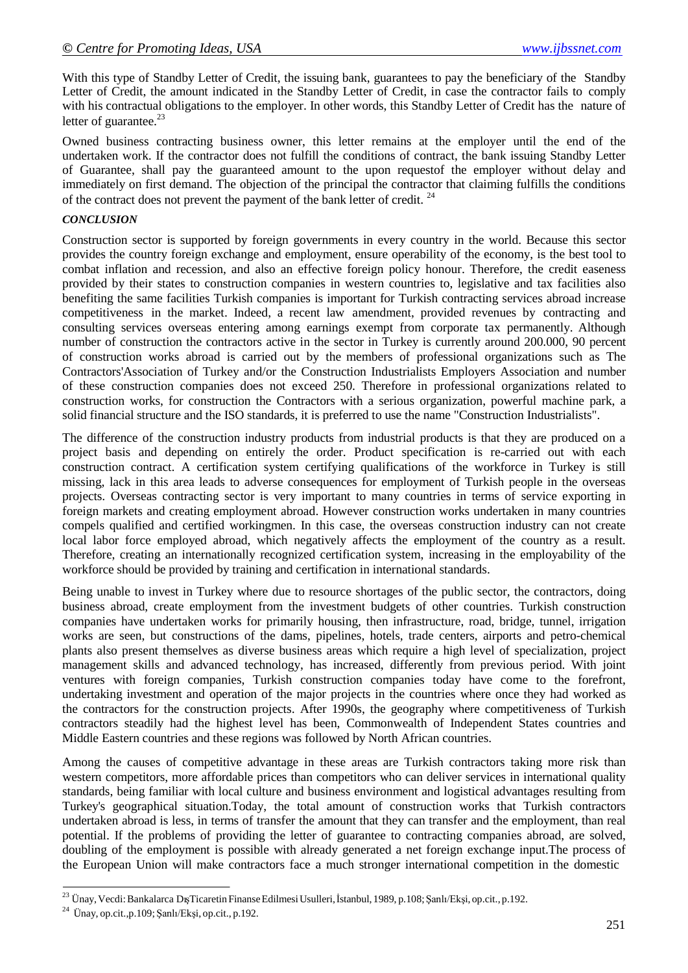With this type of Standby Letter of Credit, the issuing bank, guarantees to pay the beneficiary of the Standby Letter of Credit, the amount indicated in the Standby Letter of Credit, in case the contractor fails to comply with his contractual obligations to the employer. In other words, this Standby Letter of Credit has the nature of letter of guarantee. $^{23}$ 

Owned business contracting business owner, this letter remains at the employer until the end of the undertaken work. If the contractor does not fulfill the conditions of contract, the bank issuing Standby Letter of Guarantee, shall pay the guaranteed amount to the upon requestof the employer without delay and immediately on first demand. The objection of the principal the contractor that claiming fulfills the conditions of the contract does not prevent the payment of the bank letter of credit. <sup>24</sup>

### *CONCLUSION*

Construction sector is supported by foreign governments in every country in the world. Because this sector provides the country foreign exchange and employment, ensure operability of the economy, is the best tool to combat inflation and recession, and also an effective foreign policy honour. Therefore, the credit easeness provided by their states to construction companies in western countries to, legislative and tax facilities also benefiting the same facilities Turkish companies is important for Turkish contracting services abroad increase competitiveness in the market. Indeed, a recent law amendment, provided revenues by contracting and consulting services overseas entering among earnings exempt from corporate tax permanently. Although number of construction the contractors active in the sector in Turkey is currently around 200.000, 90 percent of construction works abroad is carried out by the members of professional organizations such as The Contractors'Association of Turkey and/or the Construction Industrialists Employers Association and number of these construction companies does not exceed 250. Therefore in professional organizations related to construction works, for construction the Contractors with a serious organization, powerful machine park, a solid financial structure and the ISO standards, it is preferred to use the name "Construction Industrialists".

The difference of the construction industry products from industrial products is that they are produced on a project basis and depending on entirely the order. Product specification is re-carried out with each construction contract. A certification system certifying qualifications of the workforce in Turkey is still missing, lack in this area leads to adverse consequences for employment of Turkish people in the overseas projects. Overseas contracting sector is very important to many countries in terms of service exporting in foreign markets and creating employment abroad. However construction works undertaken in many countries compels qualified and certified workingmen. In this case, the overseas construction industry can not create local labor force employed abroad, which negatively affects the employment of the country as a result. Therefore, creating an internationally recognized certification system, increasing in the employability of the workforce should be provided by training and certification in international standards.

Being unable to invest in Turkey where due to resource shortages of the public sector, the contractors, doing business abroad, create employment from the investment budgets of other countries. Turkish construction companies have undertaken works for primarily housing, then infrastructure, road, bridge, tunnel, irrigation works are seen, but constructions of the dams, pipelines, hotels, trade centers, airports and petro-chemical plants also present themselves as diverse business areas which require a high level of specialization, project management skills and advanced technology, has increased, differently from previous period. With joint ventures with foreign companies, Turkish construction companies today have come to the forefront, undertaking investment and operation of the major projects in the countries where once they had worked as the contractors for the construction projects. After 1990s, the geography where competitiveness of Turkish contractors steadily had the highest level has been, Commonwealth of Independent States countries and Middle Eastern countries and these regions was followed by North African countries.

Among the causes of competitive advantage in these areas are Turkish contractors taking more risk than western competitors, more affordable prices than competitors who can deliver services in international quality standards, being familiar with local culture and business environment and logistical advantages resulting from Turkey's geographical situation.Today, the total amount of construction works that Turkish contractors undertaken abroad is less, in terms of transfer the amount that they can transfer and the employment, than real potential. If the problems of providing the letter of guarantee to contracting companies abroad, are solved, doubling of the employment is possible with already generated a net foreign exchange input.The process of the European Union will make contractors face a much stronger international competition in the domestic

<sup>&</sup>lt;sup>23</sup> Ünay, Vecdi: Bankalarca Dış Ticaretin Finanse Edilmesi Usulleri, İstanbul, 1989, p.108; Şanlı/Ekşi, op.cit., p.192.

 $^{24}$  Ünay, op.cit., p.109; Şanlı/Ekşi, op.cit., p.192.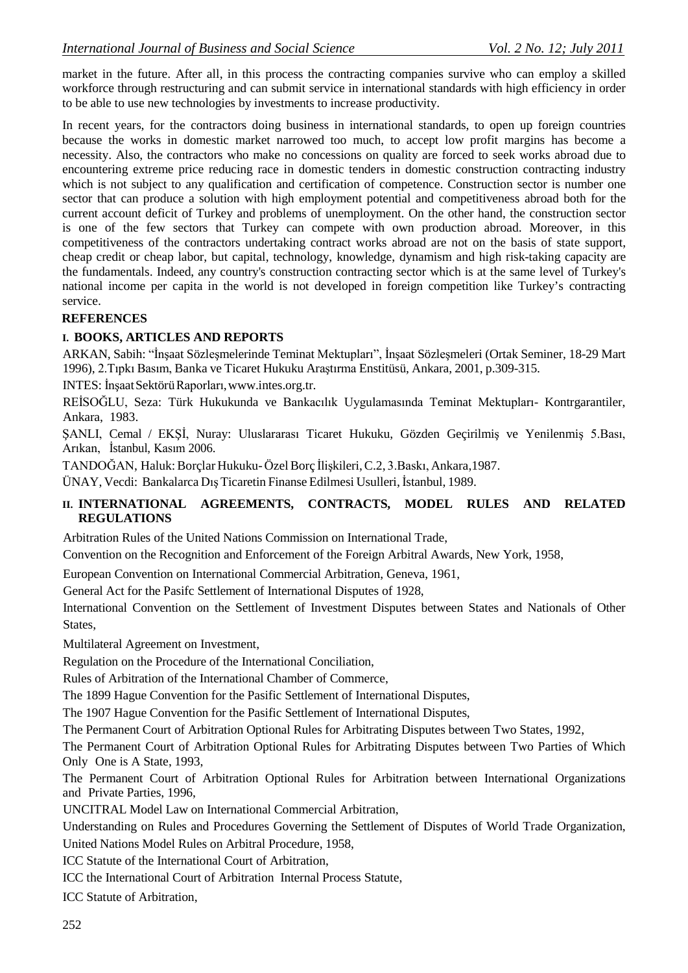market in the future. After all, in this process the contracting companies survive who can employ a skilled workforce through restructuring and can submit service in international standards with high efficiency in order to be able to use new technologies by investments to increase productivity.

In recent years, for the contractors doing business in international standards, to open up foreign countries because the works in domestic market narrowed too much, to accept low profit margins has become a necessity. Also, the contractors who make no concessions on quality are forced to seek works abroad due to encountering extreme price reducing race in domestic tenders in domestic construction contracting industry which is not subject to any qualification and certification of competence. Construction sector is number one sector that can produce a solution with high employment potential and competitiveness abroad both for the current account deficit of Turkey and problems of unemployment. On the other hand, the construction sector is one of the few sectors that Turkey can compete with own production abroad. Moreover, in this competitiveness of the contractors undertaking contract works abroad are not on the basis of state support, cheap credit or cheap labor, but capital, technology, knowledge, dynamism and high risk-taking capacity are the fundamentals. Indeed, any country's construction contracting sector which is at the same level of Turkey's national income per capita in the world is not developed in foreign competition like Turkey's contracting service.

# **REFERENCES**

# **I. BOOKS, ARTICLES AND REPORTS**

ARKAN, Sabih: "İnşaat Sözleşmelerinde Teminat Mektupları", İnşaat Sözleşmeleri (Ortak Seminer, 18-29 Mart 1996), 2.Tıpkı Basım, Banka ve Ticaret Hukuku Araştırma Enstitüsü, Ankara, 2001, p.309-315.

INTES: İnşaatSektörüRaporları[,www.intes.org.tr.](http://www.intes.org.tr/)

REİSOĞLU, Seza: Türk Hukukunda ve Bankacılık Uygulamasında Teminat Mektupları- Kontrgarantiler, Ankara, 1983.

ŞANLI, Cemal / EKŞİ, Nuray: Uluslararası Ticaret Hukuku, Gözden Geçirilmiş ve Yenilenmiş 5.Bası, Arıkan, İstanbul, Kasım 2006.

TANDOĞAN, Haluk:Borçlar Hukuku-ÖzelBorç İlişkileri,C.2, 3.Baskı, Ankara,1987.

ÜNAY, Vecdi: Bankalarca Dış Ticaretin Finanse Edilmesi Usulleri, İstanbul, 1989.

# **II. INTERNATIONAL AGREEMENTS, CONTRACTS, MODEL RULES AND RELATED REGULATIONS**

Arbitration Rules of the United Nations Commission on International Trade,

Convention on the Recognition and Enforcement of the Foreign Arbitral Awards, New York, 1958,

European Convention on International Commercial Arbitration, Geneva, 1961,

General Act for the Pasifc Settlement of International Disputes of 1928,

International Convention on the Settlement of Investment Disputes between States and Nationals of Other States,

Multilateral Agreement on Investment,

Regulation on the Procedure of the International Conciliation,

Rules of Arbitration of the International Chamber of Commerce,

The 1899 Hague Convention for the Pasific Settlement of International Disputes,

The 1907 Hague Convention for the Pasific Settlement of International Disputes,

The Permanent Court of Arbitration Optional Rules for Arbitrating Disputes between Two States, 1992,

The Permanent Court of Arbitration Optional Rules for Arbitrating Disputes between Two Parties of Which Only One is A State, 1993,

The Permanent Court of Arbitration Optional Rules for Arbitration between International Organizations and Private Parties, 1996,

UNCITRAL Model Law on International Commercial Arbitration,

Understanding on Rules and Procedures Governing the Settlement of Disputes of World Trade Organization, United Nations Model Rules on Arbitral Procedure, 1958,

ICC Statute of the International Court of Arbitration,

ICC the International Court of Arbitration Internal Process Statute,

ICC Statute of Arbitration,